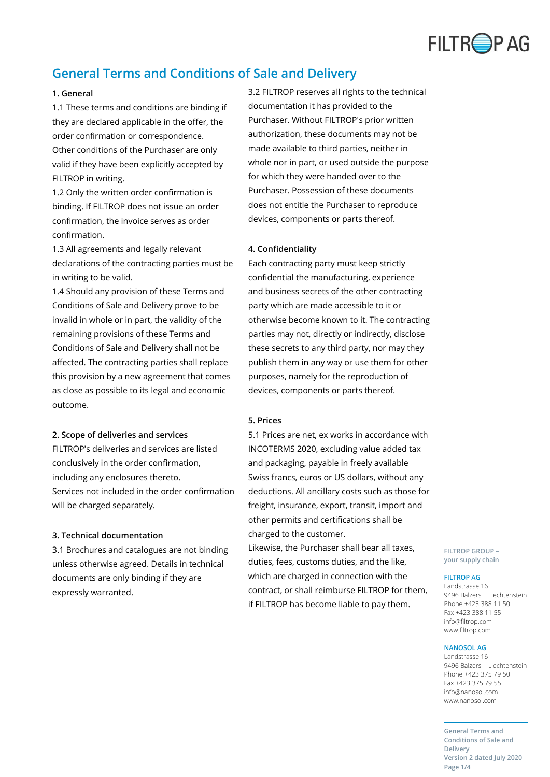

# **General Terms and Conditions of Sale and Delivery**

## **1. General**

1.1 These terms and conditions are binding if they are declared applicable in the offer, the order confirmation or correspondence. Other conditions of the Purchaser are only valid if they have been explicitly accepted by FILTROP in writing.

1.2 Only the written order confirmation is binding. If FILTROP does not issue an order confirmation, the invoice serves as order confirmation.

1.3 All agreements and legally relevant declarations of the contracting parties must be in writing to be valid.

1.4 Should any provision of these Terms and Conditions of Sale and Delivery prove to be invalid in whole or in part, the validity of the remaining provisions of these Terms and Conditions of Sale and Delivery shall not be affected. The contracting parties shall replace this provision by a new agreement that comes as close as possible to its legal and economic outcome.

#### **2. Scope of deliveries and services**

FILTROP's deliveries and services are listed conclusively in the order confirmation, including any enclosures thereto. Services not included in the order confirmation will be charged separately.

#### **3. Technical documentation**

3.1 Brochures and catalogues are not binding unless otherwise agreed. Details in technical documents are only binding if they are expressly warranted.

3.2 FILTROP reserves all rights to the technical documentation it has provided to the Purchaser. Without FILTROP's prior written authorization, these documents may not be made available to third parties, neither in whole nor in part, or used outside the purpose for which they were handed over to the Purchaser. Possession of these documents does not entitle the Purchaser to reproduce devices, components or parts thereof.

## **4. Confidentiality**

Each contracting party must keep strictly confidential the manufacturing, experience and business secrets of the other contracting party which are made accessible to it or otherwise become known to it. The contracting parties may not, directly or indirectly, disclose these secrets to any third party, nor may they publish them in any way or use them for other purposes, namely for the reproduction of devices, components or parts thereof.

## **5. Prices**

5.1 Prices are net, ex works in accordance with INCOTERMS 2020, excluding value added tax and packaging, payable in freely available Swiss francs, euros or US dollars, without any deductions. All ancillary costs such as those for freight, insurance, export, transit, import and other permits and certifications shall be charged to the customer.

Likewise, the Purchaser shall bear all taxes, duties, fees, customs duties, and the like, which are charged in connection with the contract, or shall reimburse FILTROP for them, if FILTROP has become liable to pay them.

**FILTROP GROUP – your supply chain**

#### **FILTROP AG**

Landstrasse 16 9496 Balzers | Liechtenstein Phone +423 388 11 50 Fax +423 388 11 55 info@filtrop.com www.filtrop.com

#### **NANOSOL AG**

Landstrasse 16 9496 Balzers | Liechtenstein Phone +423 375 79 50 Fax +423 375 79 55 info@nanosol.com www.nanosol.com

**General Terms and Conditions of Sale and Delivery Version 2 dated July 2020 Page 1/4**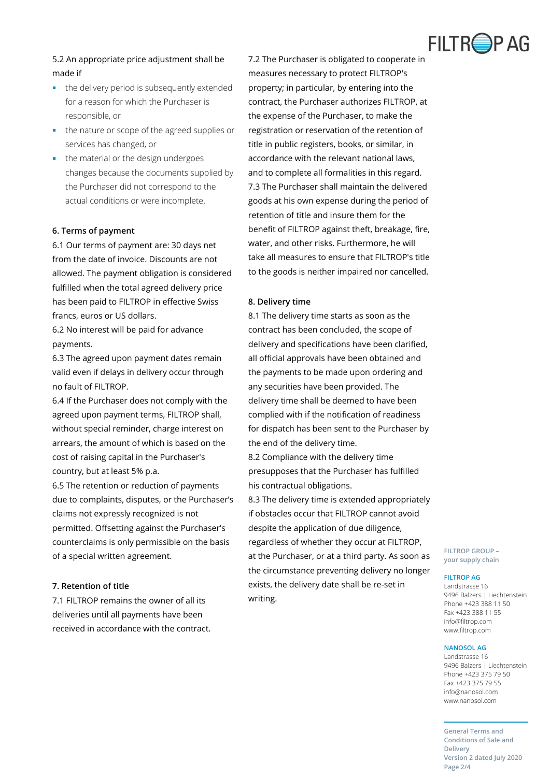

## 5.2 An appropriate price adjustment shall be made if

- the delivery period is subsequently extended for a reason for which the Purchaser is responsible, or
- **the nature or scope of the agreed supplies or** services has changed, or
- the material or the design undergoes changes because the documents supplied by the Purchaser did not correspond to the actual conditions or were incomplete.

## **6. Terms of payment**

6.1 Our terms of payment are: 30 days net from the date of invoice. Discounts are not allowed. The payment obligation is considered fulfilled when the total agreed delivery price has been paid to FILTROP in effective Swiss francs, euros or US dollars.

6.2 No interest will be paid for advance payments.

6.3 The agreed upon payment dates remain valid even if delays in delivery occur through no fault of FILTROP.

6.4 If the Purchaser does not comply with the agreed upon payment terms, FILTROP shall, without special reminder, charge interest on arrears, the amount of which is based on the cost of raising capital in the Purchaser's country, but at least 5% p.a.

6.5 The retention or reduction of payments due to complaints, disputes, or the Purchaser's claims not expressly recognized is not permitted. Offsetting against the Purchaser's counterclaims is only permissible on the basis of a special written agreement.

## **7. Retention of title**

7.1 FILTROP remains the owner of all its deliveries until all payments have been received in accordance with the contract. 7.2 The Purchaser is obligated to cooperate in measures necessary to protect FILTROP's property; in particular, by entering into the contract, the Purchaser authorizes FILTROP, at the expense of the Purchaser, to make the registration or reservation of the retention of title in public registers, books, or similar, in accordance with the relevant national laws, and to complete all formalities in this regard. 7.3 The Purchaser shall maintain the delivered goods at his own expense during the period of retention of title and insure them for the benefit of FILTROP against theft, breakage, fire, water, and other risks. Furthermore, he will take all measures to ensure that FILTROP's title to the goods is neither impaired nor cancelled.

## **8. Delivery time**

8.1 The delivery time starts as soon as the contract has been concluded, the scope of delivery and specifications have been clarified, all official approvals have been obtained and the payments to be made upon ordering and any securities have been provided. The delivery time shall be deemed to have been complied with if the notification of readiness for dispatch has been sent to the Purchaser by the end of the delivery time.

8.2 Compliance with the delivery time presupposes that the Purchaser has fulfilled his contractual obligations.

8.3 The delivery time is extended appropriately if obstacles occur that FILTROP cannot avoid despite the application of due diligence, regardless of whether they occur at FILTROP, at the Purchaser, or at a third party. As soon as the circumstance preventing delivery no longer exists, the delivery date shall be re-set in writing.

**FILTROP GROUP – your supply chain**

#### **FILTROP AG**

Landstrasse 16 9496 Balzers | Liechtenstein Phone +423 388 11 50 Fax +423 388 11 55 info@filtrop.com www.filtrop.com

### **NANOSOL AG**

Landstrasse 16 9496 Balzers | Liechtenstein Phone +423 375 79 50 Fax +423 375 79 55 info@nanosol.com www.nanosol.com

**General Terms and Conditions of Sale and Delivery Version 2 dated July 2020 Page 2/4**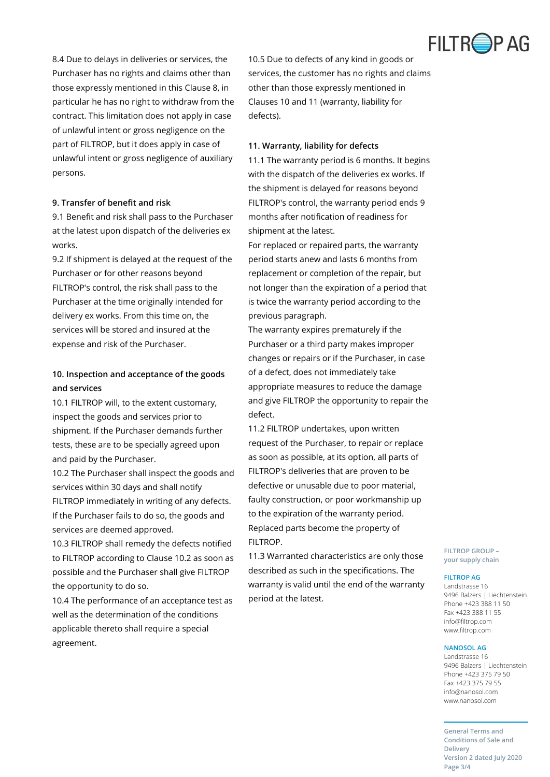

8.4 Due to delays in deliveries or services, the Purchaser has no rights and claims other than those expressly mentioned in this Clause 8, in particular he has no right to withdraw from the contract. This limitation does not apply in case of unlawful intent or gross negligence on the part of FILTROP, but it does apply in case of unlawful intent or gross negligence of auxiliary persons.

## **9. Transfer of benefit and risk**

9.1 Benefit and risk shall pass to the Purchaser at the latest upon dispatch of the deliveries ex works.

9.2 If shipment is delayed at the request of the Purchaser or for other reasons beyond FILTROP's control, the risk shall pass to the Purchaser at the time originally intended for delivery ex works. From this time on, the services will be stored and insured at the expense and risk of the Purchaser.

## **10. Inspection and acceptance of the goods and services**

10.1 FILTROP will, to the extent customary, inspect the goods and services prior to shipment. If the Purchaser demands further tests, these are to be specially agreed upon and paid by the Purchaser.

10.2 The Purchaser shall inspect the goods and services within 30 days and shall notify FILTROP immediately in writing of any defects. If the Purchaser fails to do so, the goods and services are deemed approved.

10.3 FILTROP shall remedy the defects notified to FILTROP according to Clause 10.2 as soon as possible and the Purchaser shall give FILTROP the opportunity to do so.

10.4 The performance of an acceptance test as well as the determination of the conditions applicable thereto shall require a special agreement.

10.5 Due to defects of any kind in goods or services, the customer has no rights and claims other than those expressly mentioned in Clauses 10 and 11 (warranty, liability for defects).

## **11. Warranty, liability for defects**

11.1 The warranty period is 6 months. It begins with the dispatch of the deliveries ex works. If the shipment is delayed for reasons beyond FILTROP's control, the warranty period ends 9 months after notification of readiness for shipment at the latest.

For replaced or repaired parts, the warranty period starts anew and lasts 6 months from replacement or completion of the repair, but not longer than the expiration of a period that is twice the warranty period according to the previous paragraph.

The warranty expires prematurely if the Purchaser or a third party makes improper changes or repairs or if the Purchaser, in case of a defect, does not immediately take appropriate measures to reduce the damage and give FILTROP the opportunity to repair the defect.

11.2 FILTROP undertakes, upon written request of the Purchaser, to repair or replace as soon as possible, at its option, all parts of FILTROP's deliveries that are proven to be defective or unusable due to poor material, faulty construction, or poor workmanship up to the expiration of the warranty period. Replaced parts become the property of FILTROP.

11.3 Warranted characteristics are only those described as such in the specifications. The warranty is valid until the end of the warranty period at the latest.

**FILTROP GROUP – your supply chain**

#### **FILTROP AG**

Landstrasse 16 9496 Balzers | Liechtenstein Phone +423 388 11 50 Fax +423 388 11 55 info@filtrop.com www.filtrop.com

### **NANOSOL AG**

Landstrasse 16 9496 Balzers | Liechtenstein Phone +423 375 79 50 Fax +423 375 79 55 info@nanosol.com www.nanosol.com

**General Terms and Conditions of Sale and Delivery Version 2 dated July 2020 Page 3/4**